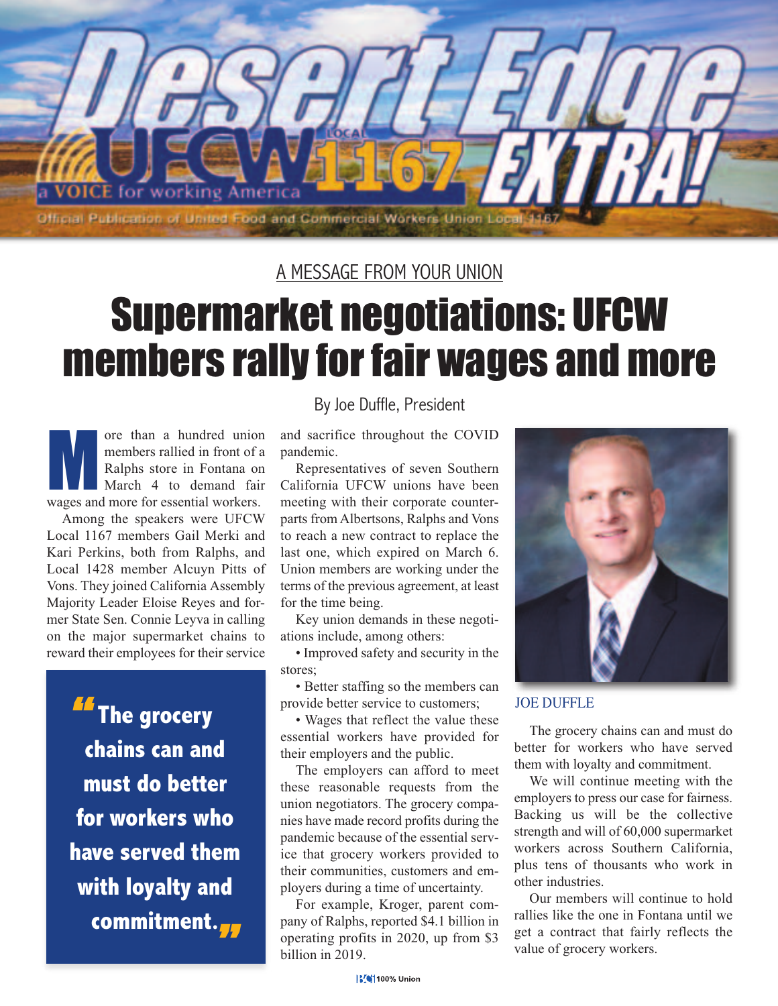

## A MESSAGE FROM YOUR UNION

## Supermarket negotiations: UFCW members rally for fair wages and more

ore than a hundred union<br>
members rallied in front of a<br>
Ralphs store in Fontana on<br>
March 4 to demand fair<br>
wages and more for essential workers. members rallied in front of a Ralphs store in Fontana on March 4 to demand fair

Among the speakers were UFCW Local 1167 members Gail Merki and Kari Perkins, both from Ralphs, and Local 1428 member Alcuyn Pitts of Vons. They joined California Assembly Majority Leader Eloise Reyes and former State Sen. Connie Leyva in calling on the major supermarket chains to reward their employees for their service

*M* The grocery **chains can and must do better for workers who have served them with loyalty and commitment.** *"*

## By Joe Duffle, President

and sacrifice throughout the COVID pandemic.

Representatives of seven Southern California UFCW unions have been meeting with their corporate counterparts from Albertsons, Ralphs and Vons to reach a new contract to replace the last one, which expired on March 6. Union members are working under the terms of the previous agreement, at least for the time being.

Key union demands in these negotiations include, among others:

• Improved safety and security in the stores;

• Better staffing so the members can provide better service to customers;

• Wages that reflect the value these essential workers have provided for their employers and the public.

The employers can afford to meet these reasonable requests from the union negotiators. The grocery companies have made record profits during the pandemic because of the essential service that grocery workers provided to their communities, customers and employers during a time of uncertainty.

For example, Kroger, parent company of Ralphs, reported \$4.1 billion in operating profits in 2020, up from \$3 billion in 2019.



JOE DUFFLE

The grocery chains can and must do better for workers who have served them with loyalty and commitment.

We will continue meeting with the employers to press our case for fairness. Backing us will be the collective strength and will of 60,000 supermarket workers across Southern California, plus tens of thousants who work in other industries.

Our members will continue to hold rallies like the one in Fontana until we get a contract that fairly reflects the value of grocery workers.